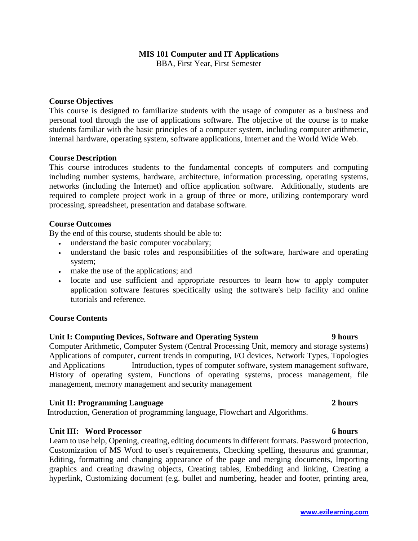### **MIS 101 Computer and IT Applications**

BBA, First Year, First Semester

### **Course Objectives**

This course is designed to familiarize students with the usage of computer as a business and personal tool through the use of applications software. The objective of the course is to make students familiar with the basic principles of a computer system, including computer arithmetic, internal hardware, operating system, software applications, Internet and the World Wide Web.

### **Course Description**

This course introduces students to the fundamental concepts of computers and computing including number systems, hardware, architecture, information processing, operating systems, networks (including the Internet) and office application software. Additionally, students are required to complete project work in a group of three or more, utilizing contemporary word processing, spreadsheet, presentation and database software.

### **Course Outcomes**

By the end of this course, students should be able to:

- understand the basic computer vocabulary;
- understand the basic roles and responsibilities of the software, hardware and operating system;
- make the use of the applications; and
- locate and use sufficient and appropriate resources to learn how to apply computer application software features specifically using the software's help facility and online tutorials and reference.

#### **Course Contents**

# **Unit I: Computing Devices, Software and Operating System 9 hours**

Computer Arithmetic, Computer System (Central Processing Unit, memory and storage systems) Applications of computer, current trends in computing, I/O devices, Network Types, Topologies and Applications Introduction, types of computer software, system management software, History of operating system, Functions of operating systems, process management, file management, memory management and security management

#### **Unit II: Programming Language 2 hours**

Introduction, Generation of programming language, Flowchart and Algorithms.

#### **Unit III: Word Processor 6 hours**

Learn to use help, Opening, creating, editing documents in different formats. Password protection, Customization of MS Word to user's requirements, Checking spelling, thesaurus and grammar, Editing, formatting and changing appearance of the page and merging documents, Importing graphics and creating drawing objects, Creating tables, Embedding and linking, Creating a hyperlink, Customizing document (e.g. bullet and numbering, header and footer, printing area,